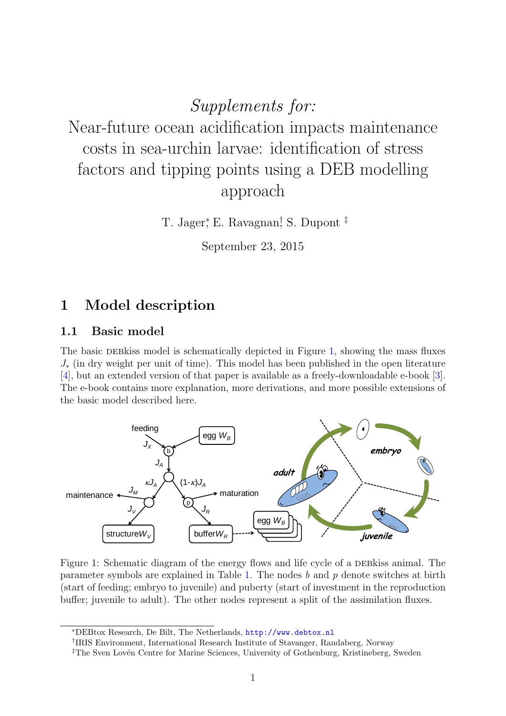Supplements for: Near-future ocean acidification impacts maintenance costs in sea-urchin larvae: identification of stress factors and tipping points using a DEB modelling approach

T. Jager,<sup>\*</sup> E. Ravagnan<sup>†</sup> S. Dupont<sup>‡</sup>

<span id="page-0-0"></span>September 23, 2015

## 1 Model description

### 1.1 Basic model

The basic DEB kiss model is schematically depicted in Figure [1,](#page-0-0) showing the mass fluxes  $J_{\ast}$  (in dry weight per unit of time). This model has been published in the open literature [\[4\]](#page-12-0), but an extended version of that paper is available as a freely-downloadable e-book [\[3\]](#page-12-1). The e-book contains more explanation, more derivations, and more possible extensions of the basic model described here.



Figure 1: Schematic diagram of the energy flows and life cycle of a DEB kiss animal. The parameter symbols are explained in Table [1.](#page-1-0) The nodes b and p denote switches at birth (start of feeding; embryo to juvenile) and puberty (start of investment in the reproduction buffer; juvenile to adult). The other nodes represent a split of the assimilation fluxes.

<sup>∗</sup>DEBtox Research, De Bilt, The Netherlands, <http://www.debtox.nl>

<sup>†</sup> IRIS Environment, International Research Institute of Stavanger, Randaberg, Norway

<sup>&</sup>lt;sup>‡</sup>The Sven Lovén Centre for Marine Sciences, University of Gothenburg, Kristineberg, Sweden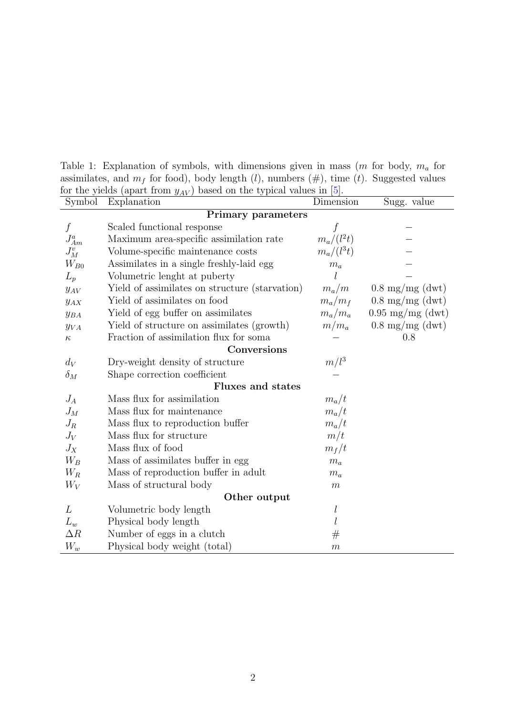Table 1: Explanation of symbols, with dimensions given in mass  $(m \text{ for body}, m_a \text{ for } )$ assimilates, and  $m_f$  for food), body length (l), numbers (#), time (t). Suggested values for the yields (apart from  $y_{AV}$ ) based on the typical values in [\[5\]](#page-12-2).

<span id="page-1-0"></span>

| Symbol                    | Explanation                                    | Dimension              | Sugg. value                |  |
|---------------------------|------------------------------------------------|------------------------|----------------------------|--|
| <b>Primary parameters</b> |                                                |                        |                            |  |
| $\boldsymbol{f}$          | Scaled functional response                     |                        |                            |  |
| $J_{Am}^a$                | Maximum area-specific assimilation rate        | $\frac{f}{m_a/(l^2t)}$ |                            |  |
| ${\cal J}_M^v$            | Volume-specific maintenance costs              | $m_a/(l^3t)$           |                            |  |
| $W_{B0}$                  | Assimilates in a single freshly-laid egg       | $m_a$                  |                            |  |
| $L_p$                     | Volumetric lenght at puberty                   |                        |                            |  |
| $y_{AV}$                  | Yield of assimilates on structure (starvation) | $m_a/m$                | $0.8 \text{ mg/mg}$ (dwt)  |  |
| $y_{AX}$                  | Yield of assimilates on food                   | $m_a/m_f$              | $0.8 \text{ mg/mg (dwt)}$  |  |
| $y_{BA}$                  | Yield of egg buffer on assimilates             | $m_a/m_a$              | $0.95 \text{ mg/mg}$ (dwt) |  |
| $y_{VA}$                  | Yield of structure on assimilates (growth)     | $m/m_a$                | $0.8 \text{ mg/mg (dwt)}$  |  |
| $\kappa$                  | Fraction of assimilation flux for soma         |                        | 0.8                        |  |
|                           | Conversions                                    |                        |                            |  |
| $d_V$                     | Dry-weight density of structure                | $m/l^3$                |                            |  |
| $\delta_M$                | Shape correction coefficient                   |                        |                            |  |
|                           | <b>Fluxes and states</b>                       |                        |                            |  |
| $J_A$                     | Mass flux for assimilation                     | $m_a/t$                |                            |  |
| $J_M$                     | Mass flux for maintenance                      | $m_a/t$                |                            |  |
| $J_R$                     | Mass flux to reproduction buffer               | $m_a/t$                |                            |  |
| $J_V$                     | Mass flux for structure                        | m/t                    |                            |  |
| $J_X$                     | Mass flux of food                              | $m_f/t$                |                            |  |
| $W_B$                     | Mass of assimilates buffer in egg              | $m_a$                  |                            |  |
| $W_R$                     | Mass of reproduction buffer in adult           | $m_a$                  |                            |  |
| $W_V$                     | Mass of structural body                        | $\boldsymbol{m}$       |                            |  |
| Other output              |                                                |                        |                            |  |
| L                         | Volumetric body length                         | l                      |                            |  |
| $L_w$                     | Physical body length                           |                        |                            |  |
| $\Delta R$                | Number of eggs in a clutch                     | $_{\#}$                |                            |  |
| $W_w$                     | Physical body weight (total)                   | $\boldsymbol{m}$       |                            |  |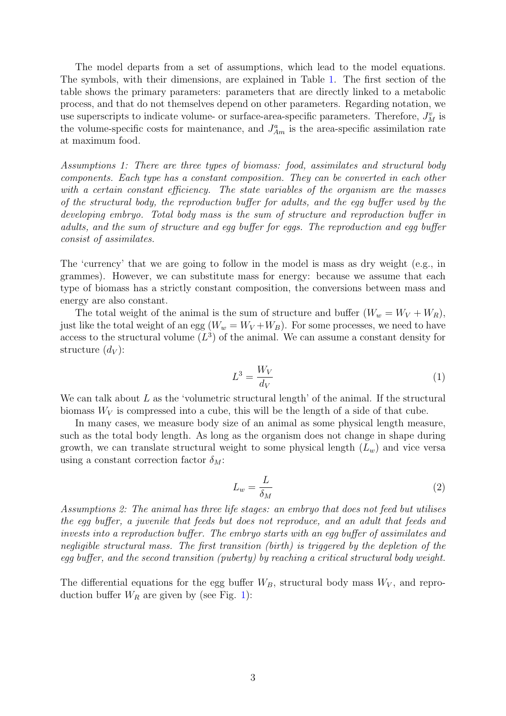The model departs from a set of assumptions, which lead to the model equations. The symbols, with their dimensions, are explained in Table [1.](#page-1-0) The first section of the table shows the primary parameters: parameters that are directly linked to a metabolic process, and that do not themselves depend on other parameters. Regarding notation, we use superscripts to indicate volume- or surface-area-specific parameters. Therefore,  $J_M^v$  is the volume-specific costs for maintenance, and  $J_{Am}^a$  is the area-specific assimilation rate at maximum food.

Assumptions 1: There are three types of biomass: food, assimilates and structural body components. Each type has a constant composition. They can be converted in each other with a certain constant efficiency. The state variables of the organism are the masses of the structural body, the reproduction buffer for adults, and the egg buffer used by the developing embryo. Total body mass is the sum of structure and reproduction buffer in adults, and the sum of structure and egg buffer for eggs. The reproduction and egg buffer consist of assimilates.

The 'currency' that we are going to follow in the model is mass as dry weight (e.g., in grammes). However, we can substitute mass for energy: because we assume that each type of biomass has a strictly constant composition, the conversions between mass and energy are also constant.

The total weight of the animal is the sum of structure and buffer  $(W_w = W_V + W_R)$ , just like the total weight of an egg  $(W_w = W_V + W_B)$ . For some processes, we need to have access to the structural volume  $(L^3)$  of the animal. We can assume a constant density for structure  $(d_V)$ :

$$
L^3 = \frac{W_V}{d_V} \tag{1}
$$

We can talk about  $L$  as the 'volumetric structural length' of the animal. If the structural biomass  $W_V$  is compressed into a cube, this will be the length of a side of that cube.

In many cases, we measure body size of an animal as some physical length measure, such as the total body length. As long as the organism does not change in shape during growth, we can translate structural weight to some physical length  $(L_w)$  and vice versa using a constant correction factor  $\delta_M$ :

$$
L_w = \frac{L}{\delta_M} \tag{2}
$$

Assumptions 2: The animal has three life stages: an embryo that does not feed but utilises the egg buffer, a juvenile that feeds but does not reproduce, and an adult that feeds and invests into a reproduction buffer. The embryo starts with an egg buffer of assimilates and negligible structural mass. The first transition (birth) is triggered by the depletion of the egg buffer, and the second transition (puberty) by reaching a critical structural body weight.

The differential equations for the egg buffer  $W_B$ , structural body mass  $W_V$ , and reproduction buffer  $W_R$  are given by (see Fig. [1\)](#page-0-0):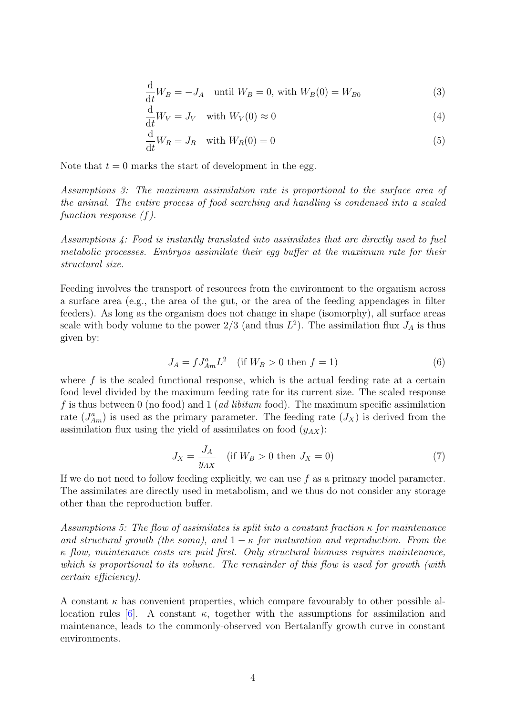$$
\frac{\mathrm{d}}{\mathrm{d}t}W_B = -J_A \quad \text{until } W_B = 0 \text{, with } W_B(0) = W_{B0} \tag{3}
$$

<span id="page-3-0"></span>
$$
\frac{\mathrm{d}}{\mathrm{d}t}W_V = J_V \quad \text{with } W_V(0) \approx 0 \tag{4}
$$

$$
\frac{\mathrm{d}}{\mathrm{d}t}W_R = J_R \quad \text{with } W_R(0) = 0 \tag{5}
$$

Note that  $t = 0$  marks the start of development in the egg.

Assumptions 3: The maximum assimilation rate is proportional to the surface area of the animal. The entire process of food searching and handling is condensed into a scaled function response  $(f)$ .

Assumptions 4: Food is instantly translated into assimilates that are directly used to fuel metabolic processes. Embryos assimilate their egg buffer at the maximum rate for their structural size.

Feeding involves the transport of resources from the environment to the organism across a surface area (e.g., the area of the gut, or the area of the feeding appendages in filter feeders). As long as the organism does not change in shape (isomorphy), all surface areas scale with body volume to the power  $2/3$  (and thus  $L^2$ ). The assimilation flux  $J_A$  is thus given by:

$$
J_A = f J_{Am}^a L^2 \quad \text{(if } W_B > 0 \text{ then } f = 1\text{)}\tag{6}
$$

where  $f$  is the scaled functional response, which is the actual feeding rate at a certain food level divided by the maximum feeding rate for its current size. The scaled response f is thus between 0 (no food) and 1 (*ad libitum* food). The maximum specific assimilation rate  $(J_{Am}^a)$  is used as the primary parameter. The feeding rate  $(J_X)$  is derived from the assimilation flux using the yield of assimilates on food  $(y_{AX})$ :

$$
J_X = \frac{J_A}{y_{AX}} \quad \text{(if } W_B > 0 \text{ then } J_X = 0\text{)}\tag{7}
$$

If we do not need to follow feeding explicitly, we can use  $f$  as a primary model parameter. The assimilates are directly used in metabolism, and we thus do not consider any storage other than the reproduction buffer.

Assumptions 5: The flow of assimilates is split into a constant fraction  $\kappa$  for maintenance and structural growth (the soma), and  $1 - \kappa$  for maturation and reproduction. From the κ flow, maintenance costs are paid first. Only structural biomass requires maintenance, which is proportional to its volume. The remainder of this flow is used for growth (with certain efficiency).

A constant  $\kappa$  has convenient properties, which compare favourably to other possible al-location rules [\[6\]](#page-12-3). A constant  $\kappa$ , together with the assumptions for assimilation and maintenance, leads to the commonly-observed von Bertalanffy growth curve in constant environments.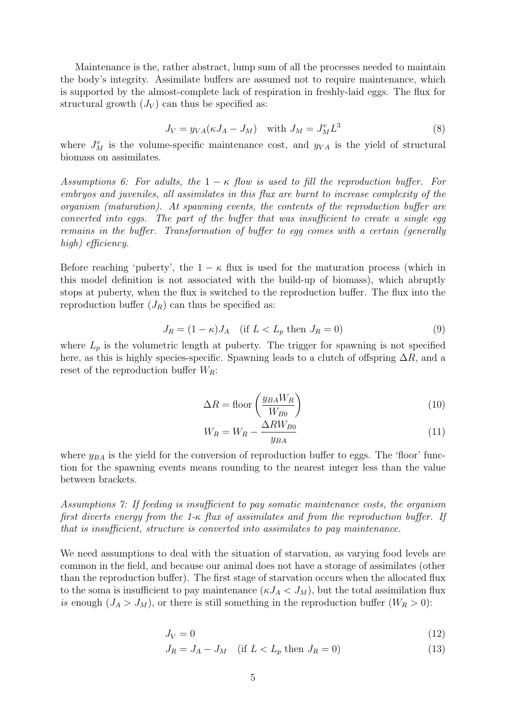Maintenance is the, rather abstract, lump sum of all the processes needed to maintain the body's integrity. Assimilate buffers are assumed not to require maintenance, which is supported by the almost-complete lack of respiration in freshly-laid eggs. The flux for structural growth  $(J_V)$  can thus be specified as:

<span id="page-4-0"></span>
$$
J_V = y_{VA}(\kappa J_A - J_M) \quad \text{with } J_M = J_M^v L^3 \tag{8}
$$

where  $J_M^v$  is the volume-specific maintenance cost, and  $y_{VA}$  is the yield of structural biomass on assimilates.

Assumptions 6: For adults, the  $1 - \kappa$  flow is used to fill the reproduction buffer. For embryos and juveniles, all assimilates in this flux are burnt to increase complexity of the organism (maturation). At spawning events, the contents of the reproduction buffer are converted into eggs. The part of the buffer that was insufficient to create a single eqg remains in the buffer. Transformation of buffer to egg comes with a certain (generally high) efficiency.

Before reaching 'puberty', the  $1 - \kappa$  flux is used for the maturation process (which in this model definition is not associated with the build-up of biomass), which abruptly stops at puberty, when the flux is switched to the reproduction buffer. The flux into the reproduction buffer  $(J_R)$  can thus be specified as:

$$
J_R = (1 - \kappa)J_A \quad \text{(if } L < L_p \text{ then } J_R = 0\text{)}\tag{9}
$$

where  $L_p$  is the volumetric length at puberty. The trigger for spawning is not specified here, as this is highly species-specific. Spawning leads to a clutch of offspring  $\Delta R$ , and a reset of the reproduction buffer  $W_R$ :

$$
\Delta R = \text{floor}\left(\frac{y_{BA}W_R}{W_{B0}}\right) \tag{10}
$$

$$
W_R = W_R - \frac{\Delta RW_{B0}}{y_{BA}}\tag{11}
$$

where  $y_{BA}$  is the yield for the conversion of reproduction buffer to eggs. The 'floor' function for the spawning events means rounding to the nearest integer less than the value between brackets.

Assumptions 7: If feeding is insufficient to pay somatic maintenance costs, the organism first diverts energy from the 1-κ flux of assimilates and from the reproduction buffer. If that is insufficient, structure is converted into assimilates to pay maintenance.

We need assumptions to deal with the situation of starvation, as varying food levels are common in the field, and because our animal does not have a storage of assimilates (other than the reproduction buffer). The first stage of starvation occurs when the allocated flux to the soma is insufficient to pay maintenance  $(\kappa J_A < J_M)$ , but the total assimilation flux is enough  $(J_A > J_M)$ , or there is still something in the reproduction buffer  $(W_R > 0)$ :

$$
J_V = 0 \tag{12}
$$

$$
J_R = J_A - J_M \quad \text{(if } L < L_p \text{ then } J_R = 0\text{)}\tag{13}
$$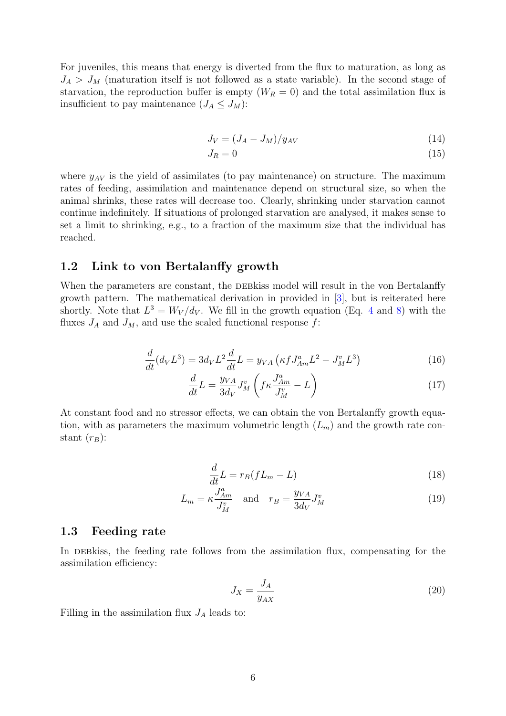For juveniles, this means that energy is diverted from the flux to maturation, as long as  $J_A > J_M$  (maturation itself is not followed as a state variable). In the second stage of starvation, the reproduction buffer is empty  $(W_R = 0)$  and the total assimilation flux is insufficient to pay maintenance  $(J_A \leq J_M)$ :

$$
J_V = (J_A - J_M)/y_{AV} \tag{14}
$$

$$
J_R = 0 \tag{15}
$$

where  $y_{AV}$  is the yield of assimilates (to pay maintenance) on structure. The maximum rates of feeding, assimilation and maintenance depend on structural size, so when the animal shrinks, these rates will decrease too. Clearly, shrinking under starvation cannot continue indefinitely. If situations of prolonged starvation are analysed, it makes sense to set a limit to shrinking, e.g., to a fraction of the maximum size that the individual has reached.

### 1.2 Link to von Bertalanffy growth

When the parameters are constant, the DEB kiss model will result in the von Bertalanffy growth pattern. The mathematical derivation in provided in [\[3\]](#page-12-1), but is reiterated here shortly. Note that  $L^3 = W_V/d_V$ . We fill in the growth equation (Eq. [4](#page-3-0) and [8\)](#page-4-0) with the fluxes  $J_A$  and  $J_M$ , and use the scaled functional response f:

$$
\frac{d}{dt}(d_V L^3) = 3d_V L^2 \frac{d}{dt} L = y_{VA} \left( \kappa f J_{Am}^a L^2 - J_M^v L^3 \right)
$$
\n(16)

$$
\frac{d}{dt}L = \frac{y_{VA}}{3d_V}J_M^v \left(f \kappa \frac{J_{Am}^a}{J_M^v} - L\right) \tag{17}
$$

At constant food and no stressor effects, we can obtain the von Bertalanffy growth equation, with as parameters the maximum volumetric length  $(L_m)$  and the growth rate constant  $(r_B)$ :

$$
\frac{d}{dt}L = r_B(fL_m - L) \tag{18}
$$

$$
L_m = \kappa \frac{J_{Am}^a}{J_M^v} \quad \text{and} \quad r_B = \frac{y_{VA}}{3d_V} J_M^v \tag{19}
$$

#### 1.3 Feeding rate

In DEB kiss, the feeding rate follows from the assimilation flux, compensating for the assimilation efficiency:

<span id="page-5-0"></span>
$$
J_X = \frac{J_A}{y_{AX}}
$$
\n<sup>(20)</sup>

Filling in the assimilation flux  $J_A$  leads to: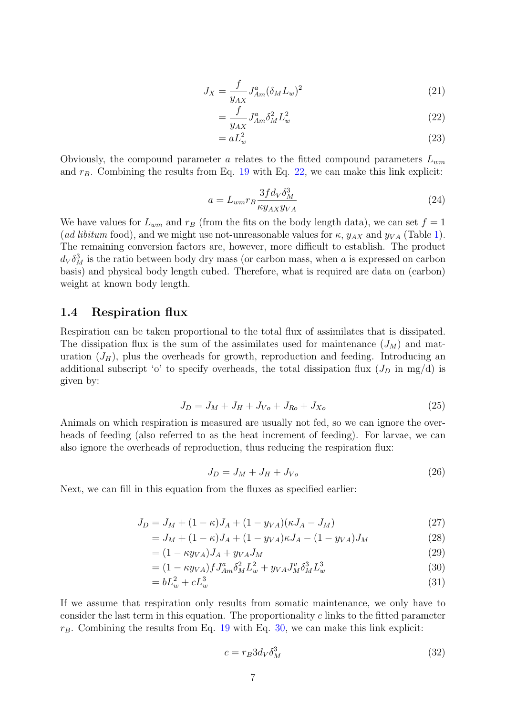$$
J_X = \frac{f}{y_{AX}} J_{Am}^a (\delta_M L_w)^2
$$
\n(21)

<span id="page-6-0"></span>
$$
=\frac{f}{y_{AX}}J_{Am}^a \delta_M^2 L_w^2\tag{22}
$$

<span id="page-6-2"></span>
$$
= aL_w^2 \tag{23}
$$

Obviously, the compound parameter a relates to the fitted compound parameters  $L_{wm}$ and  $r_B$ . Combining the results from Eq. [19](#page-5-0) with Eq. [22,](#page-6-0) we can make this link explicit:

$$
a = L_{wm} r_B \frac{3fd_V \delta_M^3}{\kappa y_{AX} y_{VA}}
$$
\n
$$
\tag{24}
$$

We have values for  $L_{wm}$  and  $r_B$  (from the fits on the body length data), we can set  $f = 1$ (*ad libitum* food), and we might use not-unreasonable values for  $\kappa$ ,  $y_{AX}$  and  $y_{VA}$  (Table [1\)](#page-1-0). The remaining conversion factors are, however, more difficult to establish. The product  $d_V \delta_M^3$  is the ratio between body dry mass (or carbon mass, when a is expressed on carbon basis) and physical body length cubed. Therefore, what is required are data on (carbon) weight at known body length.

### 1.4 Respiration flux

Respiration can be taken proportional to the total flux of assimilates that is dissipated. The dissipation flux is the sum of the assimilates used for maintenance  $(J_M)$  and maturation  $(J_H)$ , plus the overheads for growth, reproduction and feeding. Introducing an additional subscript 'o' to specify overheads, the total dissipation flux  $(J_D \text{ in } mg/d)$  is given by:

$$
J_D = J_M + J_H + J_{V} + J_{Ro} + J_{Xo}
$$
\n(25)

Animals on which respiration is measured are usually not fed, so we can ignore the overheads of feeding (also referred to as the heat increment of feeding). For larvae, we can also ignore the overheads of reproduction, thus reducing the respiration flux:

$$
J_D = J_M + J_H + J_{Vo} \tag{26}
$$

Next, we can fill in this equation from the fluxes as specified earlier:

$$
J_D = J_M + (1 - \kappa)J_A + (1 - y_{VA})(\kappa J_A - J_M) \tag{27}
$$

$$
= JM + (1 - \kappa)JA + (1 - yVA)\kappa JA - (1 - yVA)JM
$$
\n(28)

$$
= (1 - \kappa y_{VA})J_A + y_{VA}J_M \tag{29}
$$

$$
= (1 - \kappa y_{VA}) f J_{Am}^a \delta_M^2 L_w^2 + y_{VA} J_M^v \delta_M^3 L_w^3 \tag{30}
$$

$$
=bL_w^2+cL_w^3\tag{31}
$$

If we assume that respiration only results from somatic maintenance, we only have to consider the last term in this equation. The proportionality c links to the fitted parameter  $r_B$ . Combining the results from Eq. [19](#page-5-0) with Eq. [30,](#page-6-1) we can make this link explicit:

<span id="page-6-3"></span><span id="page-6-1"></span>
$$
c = r_B 3d_V \delta_M^3 \tag{32}
$$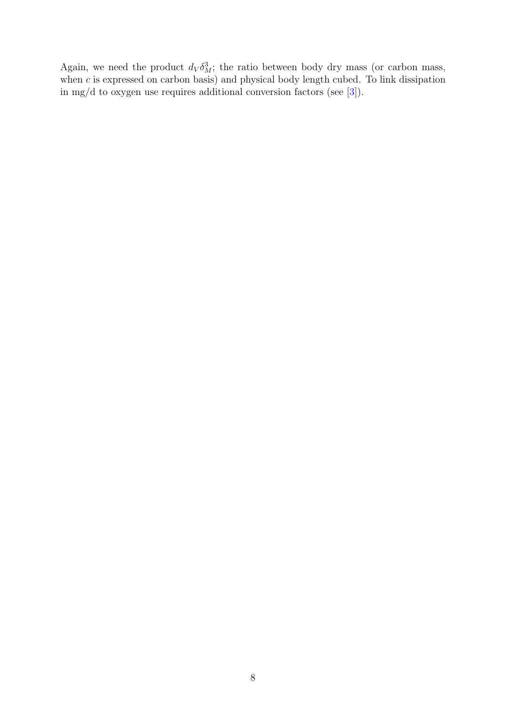Again, we need the product  $d_V \delta_M^3$ ; the ratio between body dry mass (or carbon mass, when  $c$  is expressed on carbon basis) and physical body length cubed. To link dissipation in mg/d to oxygen use requires additional conversion factors (see [\[3\]](#page-12-1)).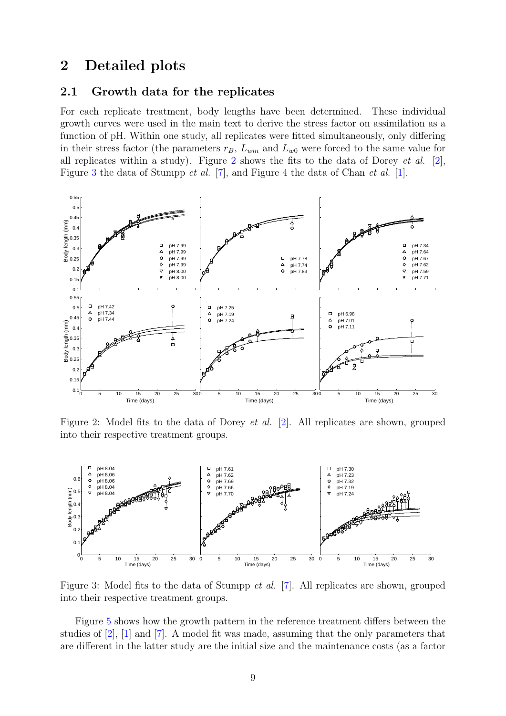## 2 Detailed plots

#### <span id="page-8-2"></span>2.1 Growth data for the replicates

For each replicate treatment, body lengths have been determined. These individual growth curves were used in the main text to derive the stress factor on assimilation as a function of pH. Within one study, all replicates were fitted simultaneously, only differing in their stress factor (the parameters  $r_B$ ,  $L_{wm}$  and  $L_{w0}$  were forced to the same value for all replicates within a study). Figure [2](#page-8-0) shows the fits to the data of Dorey *et al.* [\[2\]](#page-12-4), Figure [3](#page-8-1) the data of Stumpp et al. [\[7\]](#page-12-5), and Figure [4](#page-9-0) the data of Chan et al. [\[1\]](#page-12-6).



<span id="page-8-0"></span>Figure 2: Model fits to the data of Dorey et al. [\[2\]](#page-12-4). All replicates are shown, grouped into their respective treatment groups.



<span id="page-8-1"></span>Figure 3: Model fits to the data of Stumpp et al. [\[7\]](#page-12-5). All replicates are shown, grouped into their respective treatment groups.

Figure [5](#page-10-0) shows how the growth pattern in the reference treatment differs between the studies of [\[2\]](#page-12-4), [\[1\]](#page-12-6) and [\[7\]](#page-12-5). A model fit was made, assuming that the only parameters that are different in the latter study are the initial size and the maintenance costs (as a factor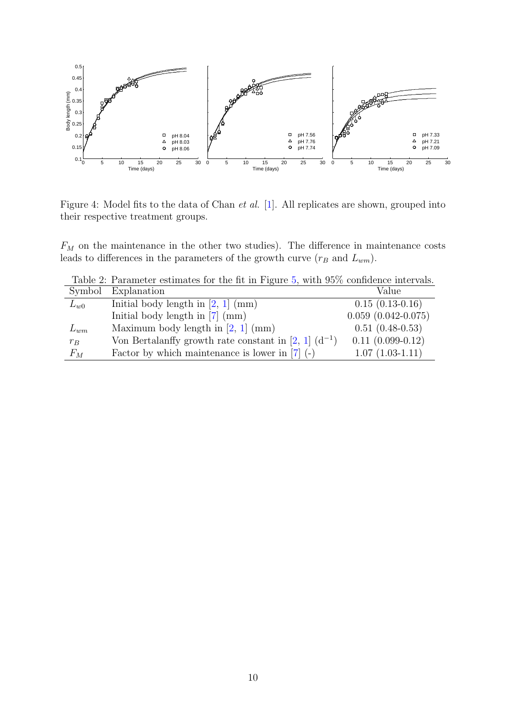

<span id="page-9-0"></span>Figure 4: Model fits to the data of Chan et al. [\[1\]](#page-12-6). All replicates are shown, grouped into their respective treatment groups.

 $F_M$  on the maintenance in the other two studies). The difference in maintenance costs leads to differences in the parameters of the growth curve  $(r_B \text{ and } L_{wm})$ .

|          | Table 2: Parameter estimates for the fit in Figure 5, with 95% confidence intervals. |                           |
|----------|--------------------------------------------------------------------------------------|---------------------------|
| Symbol   | Explanation                                                                          | Value                     |
| $L_{w0}$ | Initial body length in $[2, 1]$ (mm)                                                 | $0.15(0.13-0.16)$         |
|          | Initial body length in $[7]$ (mm)                                                    | $0.059$ $(0.042 - 0.075)$ |
| $L_{wm}$ | Maximum body length in $[2, 1]$ (mm)                                                 | $0.51(0.48-0.53)$         |
| $r_B$    | Von Bertalanffy growth rate constant in [2, 1] $(d^{-1})$                            | $0.11(0.099-0.12)$        |
| $F_M$    | Factor by which maintenance is lower in $[7]$ (-)                                    | $1.07(1.03-1.11)$         |

Table 2: Parameter estimates for the fit in Figure [5,](#page-10-0) with 95% confidence intervals.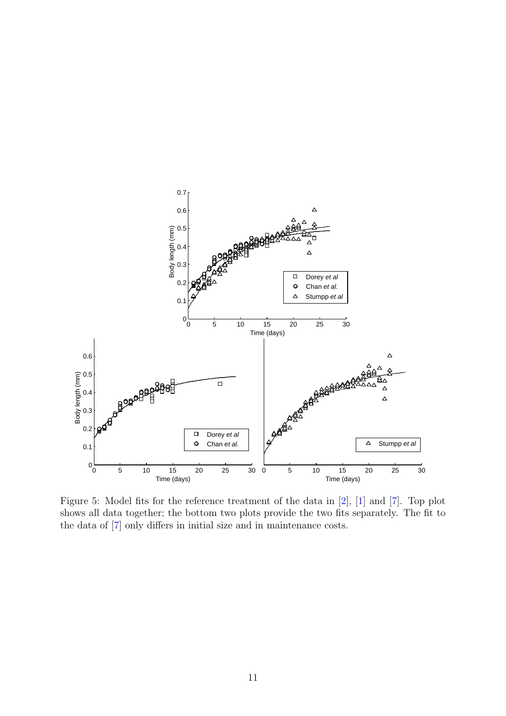

<span id="page-10-0"></span>Figure 5: Model fits for the reference treatment of the data in [\[2\]](#page-12-4), [\[1\]](#page-12-6) and [\[7\]](#page-12-5). Top plot shows all data together; the bottom two plots provide the two fits separately. The fit to the data of [\[7\]](#page-12-5) only differs in initial size and in maintenance costs.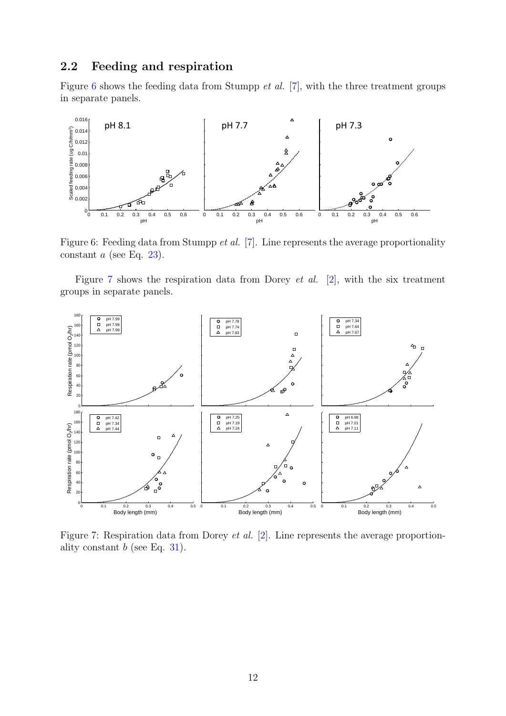### 2.2 Feeding and respiration

Figure  $6$  shows the feeding data from Stumpp *et al.* [\[7\]](#page-12-5), with the three treatment groups in separate panels.



<span id="page-11-0"></span>Figure 6: Feeding data from Stumpp et al. [\[7\]](#page-12-5). Line represents the average proportionality constant  $a$  (see Eq. [23\)](#page-6-2).

Figure [7](#page-11-1) shows the respiration data from Dorey et al. [\[2\]](#page-12-4), with the six treatment groups in separate panels.



<span id="page-11-1"></span>Figure 7: Respiration data from Dorey *et al.* [\[2\]](#page-12-4). Line represents the average proportionality constant  $b$  (see Eq. [31\)](#page-6-3).